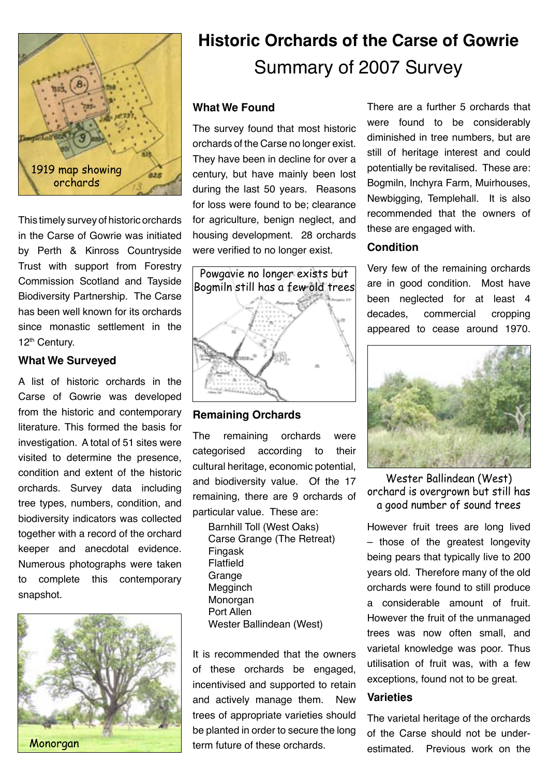

This timely survey of historic orchards in the Carse of Gowrie was initiated by Perth & Kinross Countryside Trust with support from Forestry Commission Scotland and Tayside Biodiversity Partnership. The Carse has been well known for its orchards since monastic settlement in the 12th Century.

#### **What We Surveyed**

A list of historic orchards in the Carse of Gowrie was developed from the historic and contemporary literature. This formed the basis for investigation. A total of 51 sites were visited to determine the presence, condition and extent of the historic orchards. Survey data including tree types, numbers, condition, and biodiversity indicators was collected together with a record of the orchard keeper and anecdotal evidence. Numerous photographs were taken to complete this contemporary snapshot.



# **Historic Orchards of the Carse of Gowrie**  Summary of 2007 Survey

### **What We Found**

The survey found that most historic orchards of the Carse no longer exist. They have been in decline for over a century, but have mainly been lost during the last 50 years. Reasons for loss were found to be; clearance for agriculture, benign neglect, and housing development. 28 orchards were verified to no longer exist.



**Remaining Orchards**

The remaining orchards were categorised according to their cultural heritage, economic potential, and biodiversity value. Of the 17 remaining, there are 9 orchards of particular value. These are:

Barnhill Toll (West Oaks) Carse Grange (The Retreat) Fingask Flatfield Grange Megginch Monorgan Port Allen Wester Ballindean (West)

It is recommended that the owners of these orchards be engaged, incentivised and supported to retain and actively manage them. New trees of appropriate varieties should be planted in order to secure the long term future of these orchards.

There are a further 5 orchards that were found to be considerably diminished in tree numbers, but are still of heritage interest and could potentially be revitalised. These are: Bogmiln, Inchyra Farm, Muirhouses, Newbigging, Templehall. It is also recommended that the owners of these are engaged with.

#### **Condition**

Very few of the remaining orchards are in good condition. Most have been neglected for at least 4 decades, commercial cropping appeared to cease around 1970.



Wester Ballindean (West) orchard is overgrown but still has a good number of sound trees

However fruit trees are long lived – those of the greatest longevity being pears that typically live to 200 years old. Therefore many of the old orchards were found to still produce a considerable amount of fruit. However the fruit of the unmanaged trees was now often small, and varietal knowledge was poor. Thus utilisation of fruit was, with a few exceptions, found not to be great.

#### **Varieties**

The varietal heritage of the orchards of the Carse should not be underestimated. Previous work on the